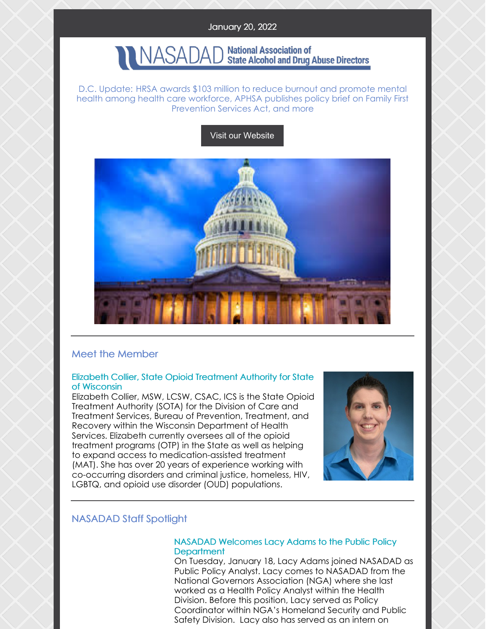## January 20, 2022

#### **National Association of** VASAD **State Alcohol and Drug Abuse Directors**

D.C. Update: HRSA awards \$103 million to reduce burnout and promote mental health among health care workforce, APHSA publishes policy brief on Family First Prevention Services Act, and more

## Visit our [Website](http://www.nasadad.org)



## Meet the Member

### Elizabeth Collier, State Opioid Treatment Authority for State of Wisconsin

Elizabeth Collier, MSW, LCSW, CSAC, ICS is the State Opioid Treatment Authority (SOTA) for the Division of Care and Treatment Services, Bureau of Prevention, Treatment, and Recovery within the Wisconsin Department of Health Services. Elizabeth currently oversees all of the opioid treatment programs (OTP) in the State as well as helping to expand access to medication-assisted treatment (MAT). She has over 20 years of experience working with co-occurring disorders and criminal justice, homeless, HIV, LGBTQ, and opioid use disorder (OUD) populations.



# NASADAD Staff Spotlight

## NASADAD Welcomes Lacy Adams to the Public Policy **Department**

On Tuesday, January 18, Lacy Adams joined NASADAD as Public Policy Analyst. Lacy comes to NASADAD from the National Governors Association (NGA) where she last worked as a Health Policy Analyst within the Health Division. Before this position, Lacy served as Policy Coordinator within NGA's Homeland Security and Public Safety Division. Lacy also has served as an intern on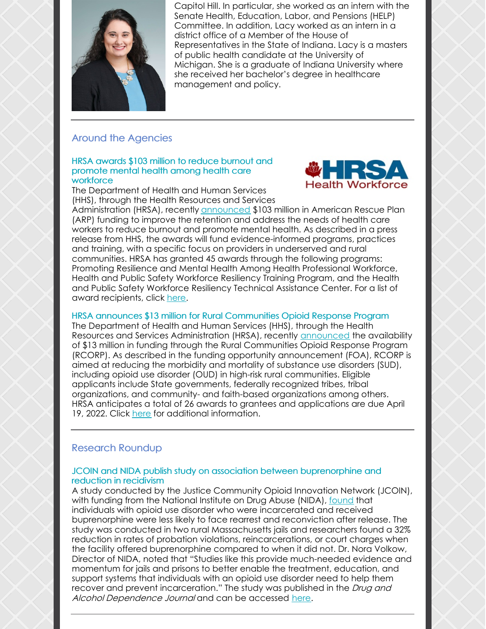

Capitol Hill. In particular, she worked as an intern with the Senate Health, Education, Labor, and Pensions (HELP) Committee. In addition, Lacy worked as an intern in a district office of a Member of the House of Representatives in the State of Indiana. Lacy is a masters of public health candidate at the University of Michigan. She is a graduate of Indiana University where she received her bachelor's degree in healthcare management and policy.

# Around the Agencies

#### HRSA awards \$103 million to reduce burnout and promote mental health among health care workforce



The Department of Health and Human Services (HHS), through the Health Resources and Services

Administration (HRSA), recently [announced](https://www.hhs.gov/about/news/2022/01/20/biden-harris-administration-awards-103-million-american-rescue-plan-funds-reduce-burnout-promote-mental-health-wellness-among-health-care-workforce.html) \$103 million in American Rescue Plan (ARP) funding to improve the retention and address the needs of health care workers to reduce burnout and promote mental health. As described in a press release from HHS, the awards will fund evidence-informed programs, practices and training, with a specific focus on providers in underserved and rural communities. HRSA has granted 45 awards through the following programs: Promoting Resilience and Mental Health Among Health Professional Workforce, Health and Public Safety Workforce Resiliency Training Program, and the Health and Public Safety Workforce Resiliency Technical Assistance Center. For a list of award recipients, click [here](https://bhw.hrsa.gov/funding/health-workforce-resiliency-awards).

## HRSA announces \$13 million for Rural Communities Opioid Response Program

The Department of Health and Human Services (HHS), through the Health Resources and Services Administration (HRSA), recently [announced](https://www.hhs.gov/about/news/2022/01/18/hhs-announces-availability-13-million-increase-behavioral-health-care-access-rural-communities.html) the availability of \$13 million in funding through the Rural Communities Opioid Response Program (RCORP). As described in the funding opportunity announcement (FOA), RCORP is aimed at reducing the morbidity and mortality of substance use disorders (SUD), including opioid use disorder (OUD) in high-risk rural communities. Eligible applicants include State governments, federally recognized tribes, tribal organizations, and community- and faith-based organizations among others. HRSA anticipates a total of 26 awards to grantees and applications are due April 19, 2022. Click [here](https://www.grants.gov/web/grants/search-grants.html?keywords=HRSA-22-061) for additional information.

## Research Roundup

## JCOIN and NIDA publish study on association between buprenorphine and reduction in recidivism

A study conducted by the Justice Community Opioid Innovation Network (JCOIN), with funding from the National Institute on Drug Abuse (NIDA), [found](https://www.nih.gov/news-events/news-releases/offering-buprenorphine-medication-people-opioid-use-disorder-jail-may-reduce-rearrest-reconviction) that individuals with opioid use disorder who were incarcerated and received buprenorphine were less likely to face rearrest and reconviction after release. The study was conducted in two rural Massachusetts jails and researchers found a 32% reduction in rates of probation violations, reincarcerations, or court charges when the facility offered buprenorphine compared to when it did not. Dr. Nora Volkow, Director of NIDA, noted that "Studies like this provide much-needed evidence and momentum for jails and prisons to better enable the treatment, education, and support systems that individuals with an opioid use disorder need to help them recover and prevent incarceration." The study was published in the Drug and Alcohol Dependence Journal and can be accessed [here](https://www.sciencedirect.com/science/article/abs/pii/S0376871621007493?via%3Dihub).